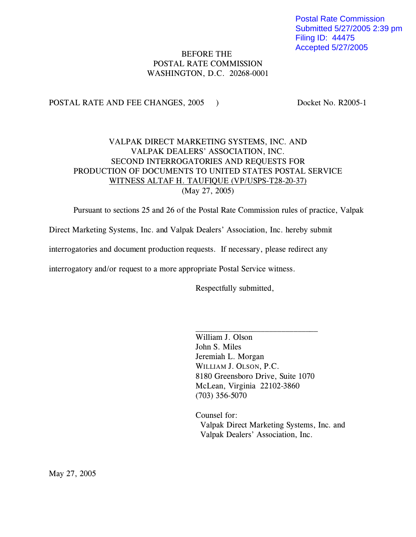Postal Rate Commission Submitted 5/27/2005 2:39 pm Filing ID: 44475 Accepted 5/27/2005

# BEFORE THE POSTAL RATE COMMISSION WASHINGTON, D.C. 20268-0001

## POSTAL RATE AND FEE CHANGES, 2005 ) Docket No. R2005-1

# VALPAK DIRECT MARKETING SYSTEMS, INC. AND VALPAK DEALERS' ASSOCIATION, INC. SECOND INTERROGATORIES AND REQUESTS FOR PRODUCTION OF DOCUMENTS TO UNITED STATES POSTAL SERVICE WITNESS ALTAF H. TAUFIQUE (VP/USPS-T28-20-37) (May 27, 2005)

Pursuant to sections 25 and 26 of the Postal Rate Commission rules of practice, Valpak

Direct Marketing Systems, Inc. and Valpak Dealers' Association, Inc. hereby submit

interrogatories and document production requests. If necessary, please redirect any

interrogatory and/or request to a more appropriate Postal Service witness.

Respectfully submitted,

William J. Olson John S. Miles Jeremiah L. Morgan WILLIAM J. OLSON, P.C. 8180 Greensboro Drive, Suite 1070 McLean, Virginia 22102-3860 (703) 356-5070

 $\overline{\phantom{a}}$  , where  $\overline{\phantom{a}}$  , where  $\overline{\phantom{a}}$  , where  $\overline{\phantom{a}}$  , where  $\overline{\phantom{a}}$ 

Counsel for: Valpak Direct Marketing Systems, Inc. and Valpak Dealers' Association, Inc.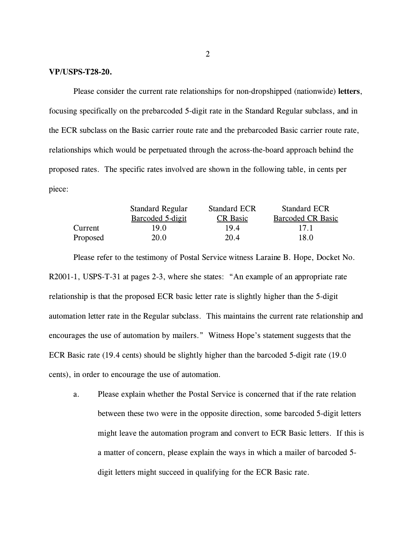## **VP/USPS-T28-20.**

Please consider the current rate relationships for non-dropshipped (nationwide) **letters**, focusing specifically on the prebarcoded 5-digit rate in the Standard Regular subclass, and in the ECR subclass on the Basic carrier route rate and the prebarcoded Basic carrier route rate, relationships which would be perpetuated through the across-the-board approach behind the proposed rates. The specific rates involved are shown in the following table, in cents per piece:

|          | <b>Standard Regular</b><br>Barcoded 5-digit | <b>Standard ECR</b><br><b>CR</b> Basic | <b>Standard ECR</b><br><b>Barcoded CR Basic</b> |
|----------|---------------------------------------------|----------------------------------------|-------------------------------------------------|
|          |                                             |                                        |                                                 |
| Current  | 19.0                                        | 19.4                                   | 17.1                                            |
| Proposed | 20.0                                        | 20.4                                   | 18.0                                            |

Please refer to the testimony of Postal Service witness Laraine B. Hope, Docket No. R2001-1, USPS-T-31 at pages 2-3, where she states: "An example of an appropriate rate relationship is that the proposed ECR basic letter rate is slightly higher than the 5-digit automation letter rate in the Regular subclass. This maintains the current rate relationship and encourages the use of automation by mailers." Witness Hope's statement suggests that the ECR Basic rate (19.4 cents) should be slightly higher than the barcoded 5-digit rate (19.0 cents), in order to encourage the use of automation.

a. Please explain whether the Postal Service is concerned that if the rate relation between these two were in the opposite direction, some barcoded 5-digit letters might leave the automation program and convert to ECR Basic letters. If this is a matter of concern, please explain the ways in which a mailer of barcoded 5 digit letters might succeed in qualifying for the ECR Basic rate.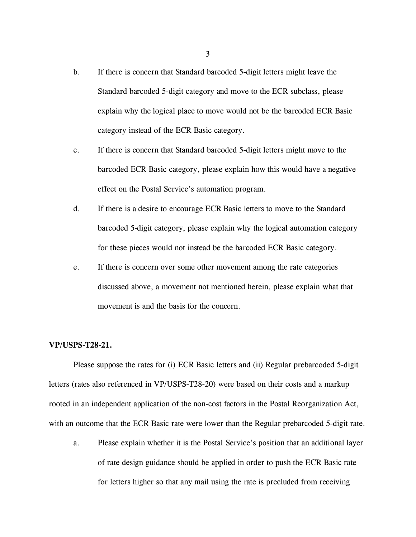- b. If there is concern that Standard barcoded 5-digit letters might leave the Standard barcoded 5-digit category and move to the ECR subclass, please explain why the logical place to move would not be the barcoded ECR Basic category instead of the ECR Basic category.
- c. If there is concern that Standard barcoded 5-digit letters might move to the barcoded ECR Basic category, please explain how this would have a negative effect on the Postal Service's automation program.
- d. If there is a desire to encourage ECR Basic letters to move to the Standard barcoded 5-digit category, please explain why the logical automation category for these pieces would not instead be the barcoded ECR Basic category.
- e. If there is concern over some other movement among the rate categories discussed above, a movement not mentioned herein, please explain what that movement is and the basis for the concern.

## **VP/USPS-T28-21.**

Please suppose the rates for (i) ECR Basic letters and (ii) Regular prebarcoded 5-digit letters (rates also referenced in VP/USPS-T28-20) were based on their costs and a markup rooted in an independent application of the non-cost factors in the Postal Reorganization Act, with an outcome that the ECR Basic rate were lower than the Regular prebarcoded 5-digit rate.

a. Please explain whether it is the Postal Service's position that an additional layer of rate design guidance should be applied in order to push the ECR Basic rate for letters higher so that any mail using the rate is precluded from receiving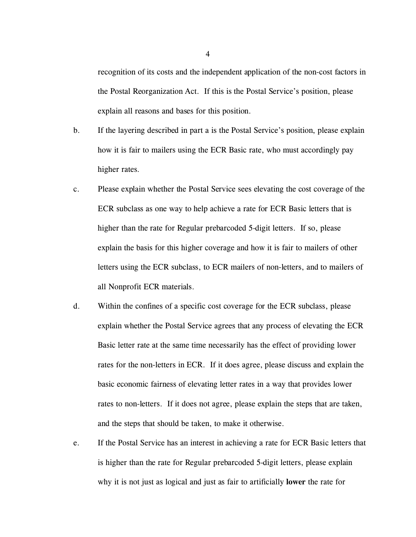recognition of its costs and the independent application of the non-cost factors in the Postal Reorganization Act. If this is the Postal Service's position, please explain all reasons and bases for this position.

- b. If the layering described in part a is the Postal Service's position, please explain how it is fair to mailers using the ECR Basic rate, who must accordingly pay higher rates.
- c. Please explain whether the Postal Service sees elevating the cost coverage of the ECR subclass as one way to help achieve a rate for ECR Basic letters that is higher than the rate for Regular prebarcoded 5-digit letters. If so, please explain the basis for this higher coverage and how it is fair to mailers of other letters using the ECR subclass, to ECR mailers of non-letters, and to mailers of all Nonprofit ECR materials.
- d. Within the confines of a specific cost coverage for the ECR subclass, please explain whether the Postal Service agrees that any process of elevating the ECR Basic letter rate at the same time necessarily has the effect of providing lower rates for the non-letters in ECR. If it does agree, please discuss and explain the basic economic fairness of elevating letter rates in a way that provides lower rates to non-letters. If it does not agree, please explain the steps that are taken, and the steps that should be taken, to make it otherwise.
- e. If the Postal Service has an interest in achieving a rate for ECR Basic letters that is higher than the rate for Regular prebarcoded 5-digit letters, please explain why it is not just as logical and just as fair to artificially **lower** the rate for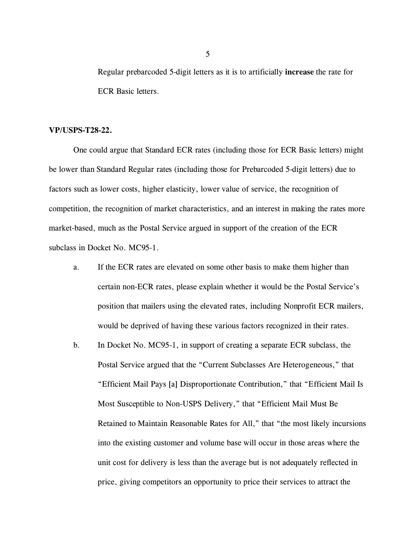Regular prebarcoded 5-digit letters as it is to artificially **increase** the rate for ECR Basic letters.

## **VP/USPS-T28-22.**

One could argue that Standard ECR rates (including those for ECR Basic letters) might be lower than Standard Regular rates (including those for Prebarcoded 5-digit letters) due to factors such as lower costs, higher elasticity, lower value of service, the recognition of competition, the recognition of market characteristics, and an interest in making the rates more market-based, much as the Postal Service argued in support of the creation of the ECR subclass in Docket No. MC95-1.

- a. If the ECR rates are elevated on some other basis to make them higher than certain non-ECR rates, please explain whether it would be the Postal Service's position that mailers using the elevated rates, including Nonprofit ECR mailers, would be deprived of having these various factors recognized in their rates.
- b. In Docket No. MC95-1, in support of creating a separate ECR subclass, the Postal Service argued that the "Current Subclasses Are Heterogeneous," that "Efficient Mail Pays [a] Disproportionate Contribution," that "Efficient Mail Is Most Susceptible to Non-USPS Delivery," that "Efficient Mail Must Be Retained to Maintain Reasonable Rates for All," that "the most likely incursions into the existing customer and volume base will occur in those areas where the unit cost for delivery is less than the average but is not adequately reflected in price, giving competitors an opportunity to price their services to attract the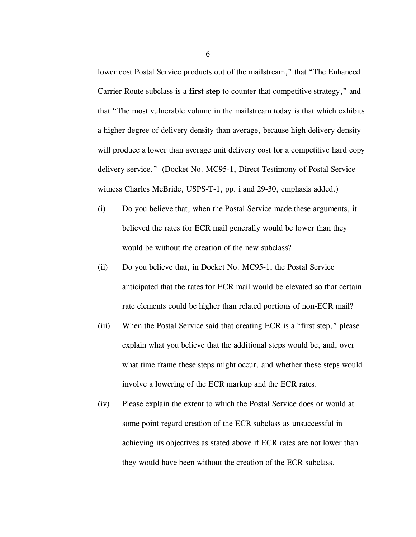lower cost Postal Service products out of the mailstream," that "The Enhanced Carrier Route subclass is a **first step** to counter that competitive strategy," and that "The most vulnerable volume in the mailstream today is that which exhibits a higher degree of delivery density than average, because high delivery density will produce a lower than average unit delivery cost for a competitive hard copy delivery service." (Docket No. MC95-1, Direct Testimony of Postal Service witness Charles McBride, USPS-T-1, pp. i and 29-30, emphasis added.)

- (i) Do you believe that, when the Postal Service made these arguments, it believed the rates for ECR mail generally would be lower than they would be without the creation of the new subclass?
- (ii) Do you believe that, in Docket No. MC95-1, the Postal Service anticipated that the rates for ECR mail would be elevated so that certain rate elements could be higher than related portions of non-ECR mail?
- (iii) When the Postal Service said that creating ECR is a "first step," please explain what you believe that the additional steps would be, and, over what time frame these steps might occur, and whether these steps would involve a lowering of the ECR markup and the ECR rates.
- (iv) Please explain the extent to which the Postal Service does or would at some point regard creation of the ECR subclass as unsuccessful in achieving its objectives as stated above if ECR rates are not lower than they would have been without the creation of the ECR subclass.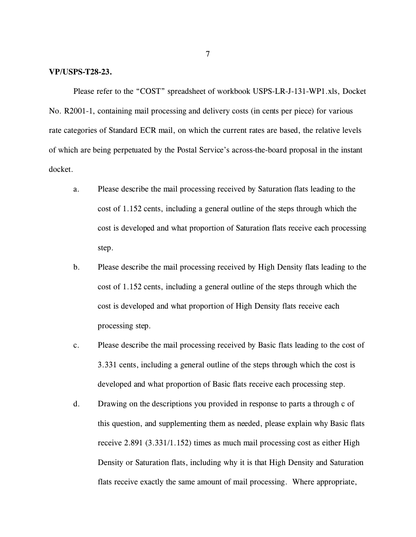### **VP/USPS-T28-23.**

Please refer to the "COST" spreadsheet of workbook USPS-LR-J-131-WP1.xls, Docket No. R2001-1, containing mail processing and delivery costs (in cents per piece) for various rate categories of Standard ECR mail, on which the current rates are based, the relative levels of which are being perpetuated by the Postal Service's across-the-board proposal in the instant docket.

- a. Please describe the mail processing received by Saturation flats leading to the cost of 1.152 cents, including a general outline of the steps through which the cost is developed and what proportion of Saturation flats receive each processing step.
- b. Please describe the mail processing received by High Density flats leading to the cost of 1.152 cents, including a general outline of the steps through which the cost is developed and what proportion of High Density flats receive each processing step.
- c. Please describe the mail processing received by Basic flats leading to the cost of 3.331 cents, including a general outline of the steps through which the cost is developed and what proportion of Basic flats receive each processing step.
- d. Drawing on the descriptions you provided in response to parts a through c of this question, and supplementing them as needed, please explain why Basic flats receive 2.891 (3.331/1.152) times as much mail processing cost as either High Density or Saturation flats, including why it is that High Density and Saturation flats receive exactly the same amount of mail processing. Where appropriate,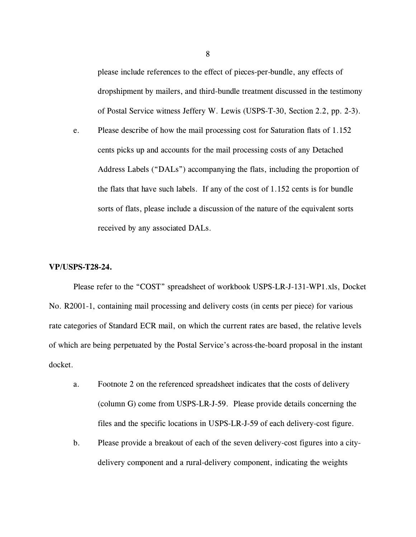please include references to the effect of pieces-per-bundle, any effects of dropshipment by mailers, and third-bundle treatment discussed in the testimony of Postal Service witness Jeffery W. Lewis (USPS-T-30, Section 2.2, pp. 2-3).

e. Please describe of how the mail processing cost for Saturation flats of 1.152 cents picks up and accounts for the mail processing costs of any Detached Address Labels ("DALs") accompanying the flats, including the proportion of the flats that have such labels. If any of the cost of 1.152 cents is for bundle sorts of flats, please include a discussion of the nature of the equivalent sorts received by any associated DALs.

## **VP/USPS-T28-24.**

Please refer to the "COST" spreadsheet of workbook USPS-LR-J-131-WP1.xls, Docket No. R2001-1, containing mail processing and delivery costs (in cents per piece) for various rate categories of Standard ECR mail, on which the current rates are based, the relative levels of which are being perpetuated by the Postal Service's across-the-board proposal in the instant docket.

- a. Footnote 2 on the referenced spreadsheet indicates that the costs of delivery (column G) come from USPS-LR-J-59. Please provide details concerning the files and the specific locations in USPS-LR-J-59 of each delivery-cost figure.
- b. Please provide a breakout of each of the seven delivery-cost figures into a citydelivery component and a rural-delivery component, indicating the weights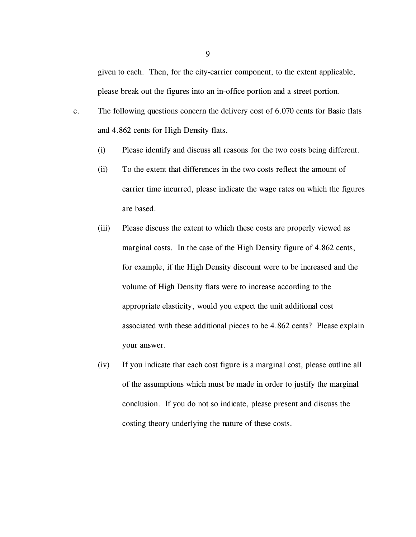given to each. Then, for the city-carrier component, to the extent applicable, please break out the figures into an in-office portion and a street portion.

- c. The following questions concern the delivery cost of 6.070 cents for Basic flats and 4.862 cents for High Density flats.
	- (i) Please identify and discuss all reasons for the two costs being different.
	- (ii) To the extent that differences in the two costs reflect the amount of carrier time incurred, please indicate the wage rates on which the figures are based.
	- (iii) Please discuss the extent to which these costs are properly viewed as marginal costs. In the case of the High Density figure of 4.862 cents, for example, if the High Density discount were to be increased and the volume of High Density flats were to increase according to the appropriate elasticity, would you expect the unit additional cost associated with these additional pieces to be 4.862 cents? Please explain your answer.
	- (iv) If you indicate that each cost figure is a marginal cost, please outline all of the assumptions which must be made in order to justify the marginal conclusion. If you do not so indicate, please present and discuss the costing theory underlying the nature of these costs.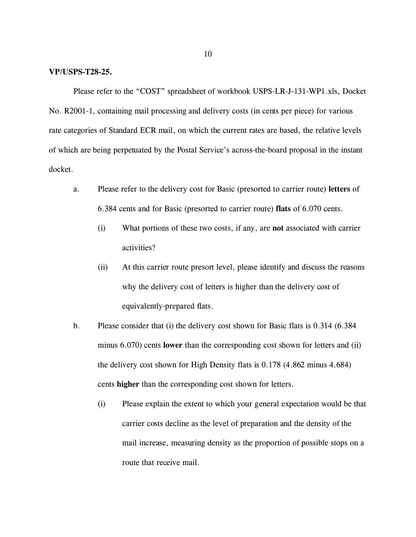## **VP/USPS-T28-25.**

Please refer to the "COST" spreadsheet of workbook USPS-LR-J-131-WP1.xls, Docket No. R2001-1, containing mail processing and delivery costs (in cents per piece) for various rate categories of Standard ECR mail, on which the current rates are based, the relative levels of which are being perpetuated by the Postal Service's across-the-board proposal in the instant docket.

- a. Please refer to the delivery cost for Basic (presorted to carrier route) **letters** of 6.384 cents and for Basic (presorted to carrier route) **flats** of 6.070 cents.
	- (i) What portions of these two costs, if any, are **not** associated with carrier activities?
	- (ii) At this carrier route presort level, please identify and discuss the reasons why the delivery cost of letters is higher than the delivery cost of equivalently-prepared flats.
- b. Please consider that (i) the delivery cost shown for Basic flats is 0.314 (6.384 minus 6.070) cents **lower** than the corresponding cost shown for letters and (ii) the delivery cost shown for High Density flats is 0.178 (4.862 minus 4.684) cents **higher** than the corresponding cost shown for letters.
	- (i) Please explain the extent to which your general expectation would be that carrier costs decline as the level of preparation and the density of the mail increase, measuring density as the proportion of possible stops on a route that receive mail.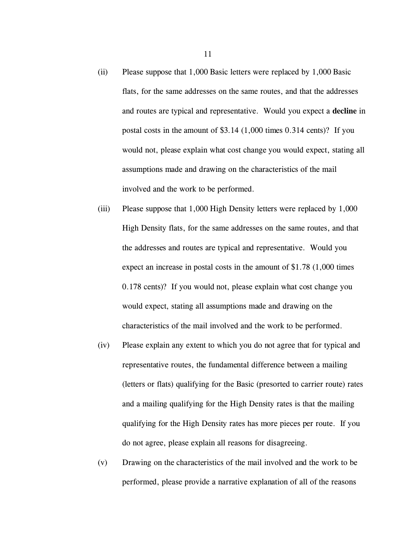- (ii) Please suppose that 1,000 Basic letters were replaced by 1,000 Basic flats, for the same addresses on the same routes, and that the addresses and routes are typical and representative. Would you expect a **decline** in postal costs in the amount of \$3.14 (1,000 times 0.314 cents)? If you would not, please explain what cost change you would expect, stating all assumptions made and drawing on the characteristics of the mail involved and the work to be performed.
- (iii) Please suppose that 1,000 High Density letters were replaced by 1,000 High Density flats, for the same addresses on the same routes, and that the addresses and routes are typical and representative. Would you expect an increase in postal costs in the amount of \$1.78 (1,000 times 0.178 cents)? If you would not, please explain what cost change you would expect, stating all assumptions made and drawing on the characteristics of the mail involved and the work to be performed.
- (iv) Please explain any extent to which you do not agree that for typical and representative routes, the fundamental difference between a mailing (letters or flats) qualifying for the Basic (presorted to carrier route) rates and a mailing qualifying for the High Density rates is that the mailing qualifying for the High Density rates has more pieces per route. If you do not agree, please explain all reasons for disagreeing.
- (v) Drawing on the characteristics of the mail involved and the work to be performed, please provide a narrative explanation of all of the reasons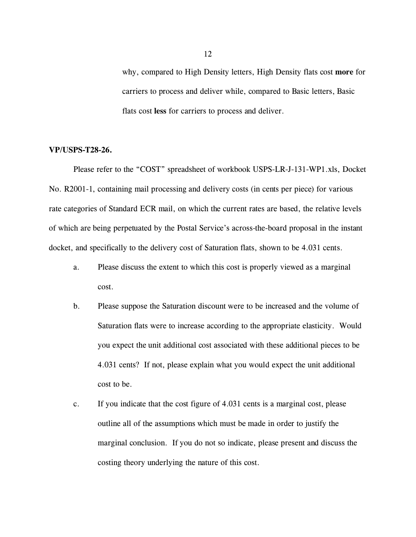why, compared to High Density letters, High Density flats cost **more** for carriers to process and deliver while, compared to Basic letters, Basic flats cost **less** for carriers to process and deliver.

## **VP/USPS-T28-26.**

Please refer to the "COST" spreadsheet of workbook USPS-LR-J-131-WP1.xls, Docket No. R2001-1, containing mail processing and delivery costs (in cents per piece) for various rate categories of Standard ECR mail, on which the current rates are based, the relative levels of which are being perpetuated by the Postal Service's across-the-board proposal in the instant docket, and specifically to the delivery cost of Saturation flats, shown to be 4.031 cents.

- a. Please discuss the extent to which this cost is properly viewed as a marginal cost.
- b. Please suppose the Saturation discount were to be increased and the volume of Saturation flats were to increase according to the appropriate elasticity. Would you expect the unit additional cost associated with these additional pieces to be 4.031 cents? If not, please explain what you would expect the unit additional cost to be.
- c. If you indicate that the cost figure of 4.031 cents is a marginal cost, please outline all of the assumptions which must be made in order to justify the marginal conclusion. If you do not so indicate, please present and discuss the costing theory underlying the nature of this cost.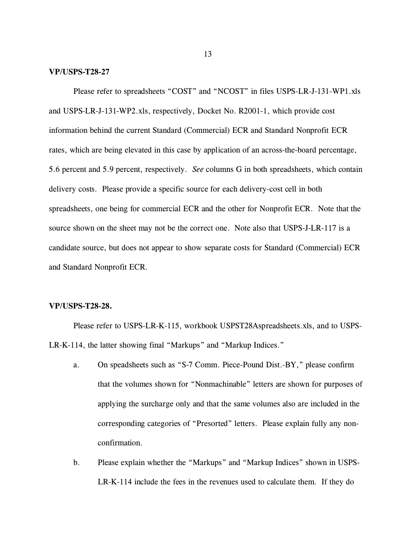### **VP/USPS-T28-27**

Please refer to spreadsheets "COST" and "NCOST" in files USPS-LR-J-131-WP1.xls and USPS-LR-J-131-WP2.xls, respectively, Docket No. R2001-1, which provide cost information behind the current Standard (Commercial) ECR and Standard Nonprofit ECR rates, which are being elevated in this case by application of an across-the-board percentage, 5.6 percent and 5.9 percent, respectively. *See* columns G in both spreadsheets, which contain delivery costs. Please provide a specific source for each delivery-cost cell in both spreadsheets, one being for commercial ECR and the other for Nonprofit ECR. Note that the source shown on the sheet may not be the correct one. Note also that USPS-J-LR-117 is a candidate source, but does not appear to show separate costs for Standard (Commercial) ECR and Standard Nonprofit ECR.

## **VP/USPS-T28-28.**

Please refer to USPS-LR-K-115, workbook USPST28Aspreadsheets.xls, and to USPS-LR-K-114, the latter showing final "Markups" and "Markup Indices."

- a. On speadsheets such as "S-7 Comm. Piece-Pound Dist.-BY," please confirm that the volumes shown for "Nonmachinable" letters are shown for purposes of applying the surcharge only and that the same volumes also are included in the corresponding categories of "Presorted" letters. Please explain fully any nonconfirmation.
- b. Please explain whether the "Markups" and "Markup Indices" shown in USPS-LR-K-114 include the fees in the revenues used to calculate them. If they do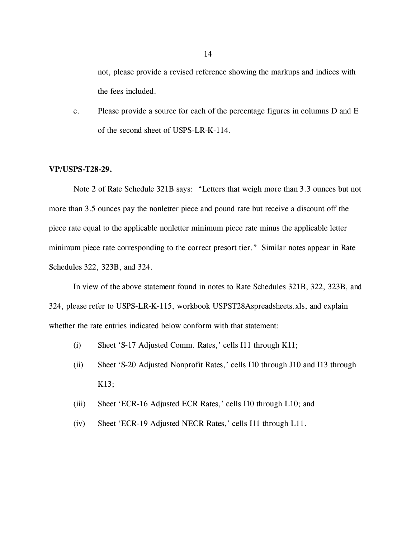not, please provide a revised reference showing the markups and indices with the fees included.

c. Please provide a source for each of the percentage figures in columns D and E of the second sheet of USPS-LR-K-114.

## **VP/USPS-T28-29.**

Note 2 of Rate Schedule 321B says: "Letters that weigh more than 3.3 ounces but not more than 3.5 ounces pay the nonletter piece and pound rate but receive a discount off the piece rate equal to the applicable nonletter minimum piece rate minus the applicable letter minimum piece rate corresponding to the correct presort tier." Similar notes appear in Rate Schedules 322, 323B, and 324.

In view of the above statement found in notes to Rate Schedules 321B, 322, 323B, and 324, please refer to USPS-LR-K-115, workbook USPST28Aspreadsheets.xls, and explain whether the rate entries indicated below conform with that statement:

- (i) Sheet 'S-17 Adjusted Comm. Rates,' cells I11 through K11;
- (ii) Sheet 'S-20 Adjusted Nonprofit Rates,' cells I10 through J10 and I13 through K13;
- (iii) Sheet 'ECR-16 Adjusted ECR Rates,' cells I10 through L10; and
- (iv) Sheet 'ECR-19 Adjusted NECR Rates,' cells I11 through L11.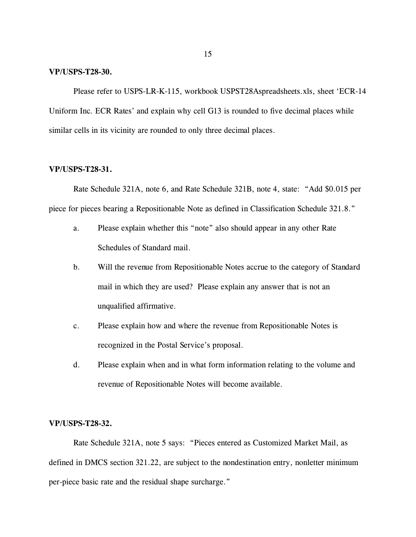### **VP/USPS-T28-30.**

Please refer to USPS-LR-K-115, workbook USPST28Aspreadsheets.xls, sheet 'ECR-14 Uniform Inc. ECR Rates' and explain why cell G13 is rounded to five decimal places while similar cells in its vicinity are rounded to only three decimal places.

## **VP/USPS-T28-31.**

Rate Schedule 321A, note 6, and Rate Schedule 321B, note 4, state: "Add \$0.015 per piece for pieces bearing a Repositionable Note as defined in Classification Schedule 321.8."

- a. Please explain whether this "note" also should appear in any other Rate Schedules of Standard mail.
- b. Will the revenue from Repositionable Notes accrue to the category of Standard mail in which they are used? Please explain any answer that is not an unqualified affirmative.
- c. Please explain how and where the revenue from Repositionable Notes is recognized in the Postal Service's proposal.
- d. Please explain when and in what form information relating to the volume and revenue of Repositionable Notes will become available.

## **VP/USPS-T28-32.**

Rate Schedule 321A, note 5 says: "Pieces entered as Customized Market Mail, as defined in DMCS section 321.22, are subject to the nondestination entry, nonletter minimum per-piece basic rate and the residual shape surcharge."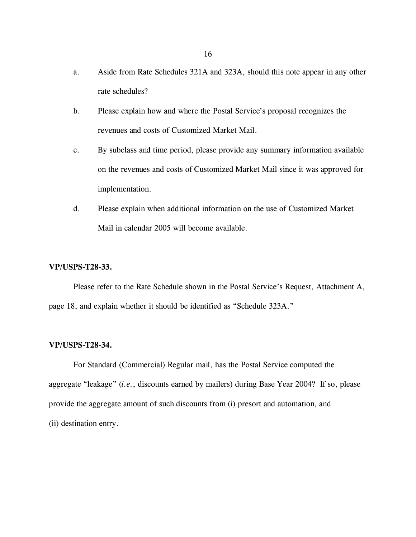- a. Aside from Rate Schedules 321A and 323A, should this note appear in any other rate schedules?
- b. Please explain how and where the Postal Service's proposal recognizes the revenues and costs of Customized Market Mail.
- c. By subclass and time period, please provide any summary information available on the revenues and costs of Customized Market Mail since it was approved for implementation.
- d. Please explain when additional information on the use of Customized Market Mail in calendar 2005 will become available.

## **VP/USPS-T28-33.**

Please refer to the Rate Schedule shown in the Postal Service's Request, Attachment A, page 18, and explain whether it should be identified as "Schedule 323A."

## **VP/USPS-T28-34.**

For Standard (Commercial) Regular mail, has the Postal Service computed the aggregate "leakage" (*i.e.*, discounts earned by mailers) during Base Year 2004? If so, please provide the aggregate amount of such discounts from (i) presort and automation, and (ii) destination entry.